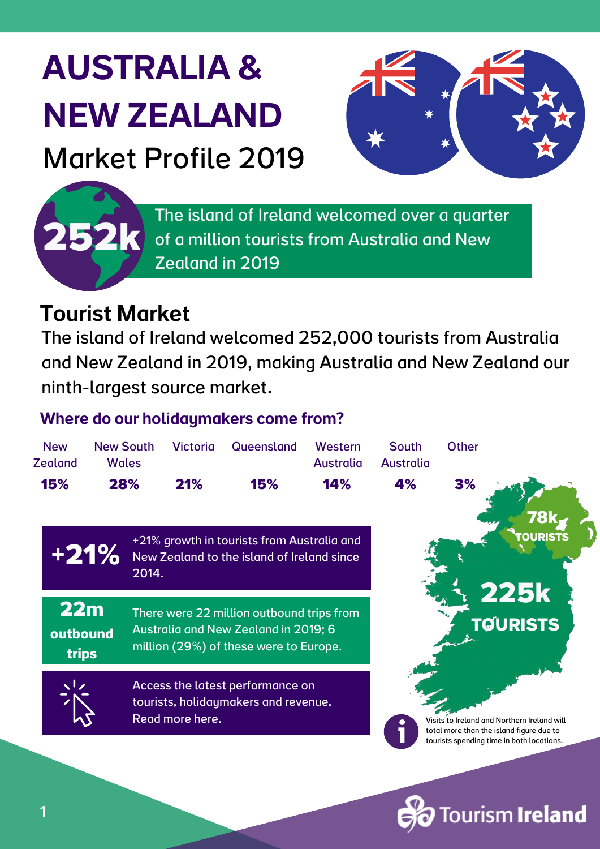# AUSTRALIA & NEW ZEALAND Market Profile 2019



ourism **Ireland** 

The island of Ireland welcomed over a quarter of a million tourists from Australia and New Zealand in 2019

### Tourist Market

**252k**

1

The island of Ireland welcomed 252,000 tourists from Australia and New Zealand in 2019, making Australia and New Zealand our ninth-largest source market.

#### Where do our holidaymakers come from?

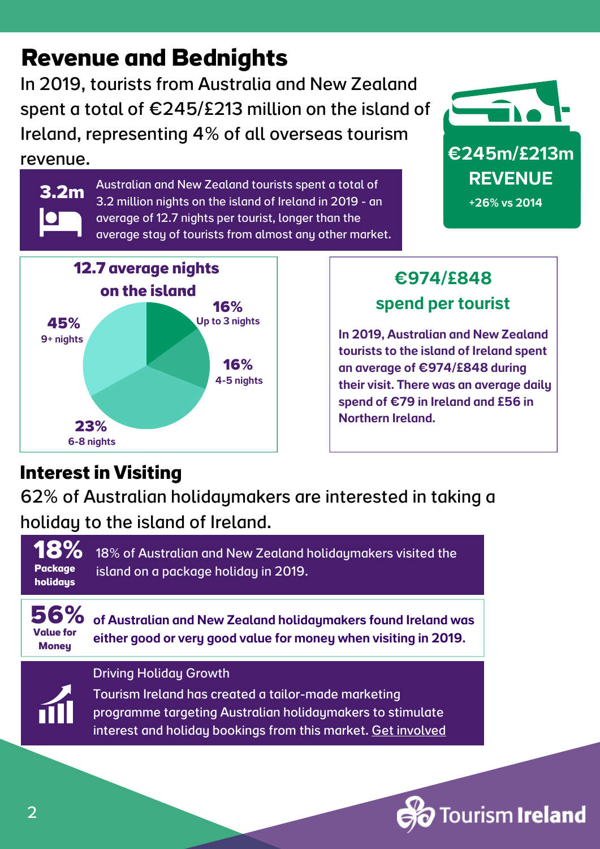## **Revenue and Bednights**

In 2019, tourists from Australia and New Zealand spent a total of €245/£213 million on the island of Ireland, representing 4% of all overseas tourism revenue.

> Australian and New Zealand tourists spent a total of 3.2 million nights on the island of Ireland in 2019 - an average of 12.7 nights per tourist, longer than the

average stay of tourists from almost any other market.

€245m/£213m **REVENUE** 

+26% vs 2014



#### €974/£848 spend per tourist

In 2019, Australian and New Zealand tourists to the island of Ireland spent an average of €974/£848 during their visit. There was an average daily spend of €79 in Ireland and £56 in Northern Ireland.

#### **Interest in Visiting**

**3.2m**

62% of Australian holidaymakers are interested in taking a holiday to the island of Ireland.



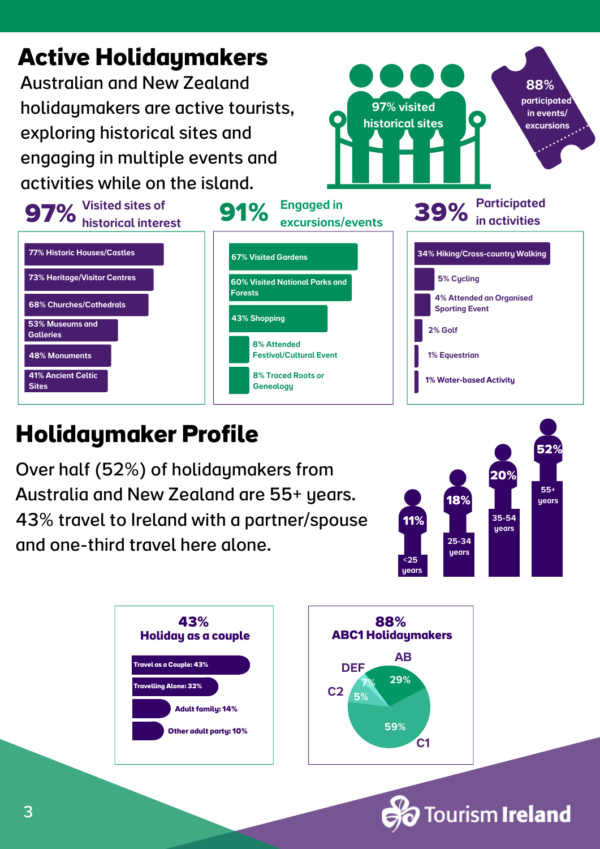

## **Holidaymaker Profile**

Over half (52%) of holidaymakers from Australia and New Zealand are 55+ years. 43% travel to Ireland with a partner/spouse and one-third travel here alone.





**Tourism Ireland**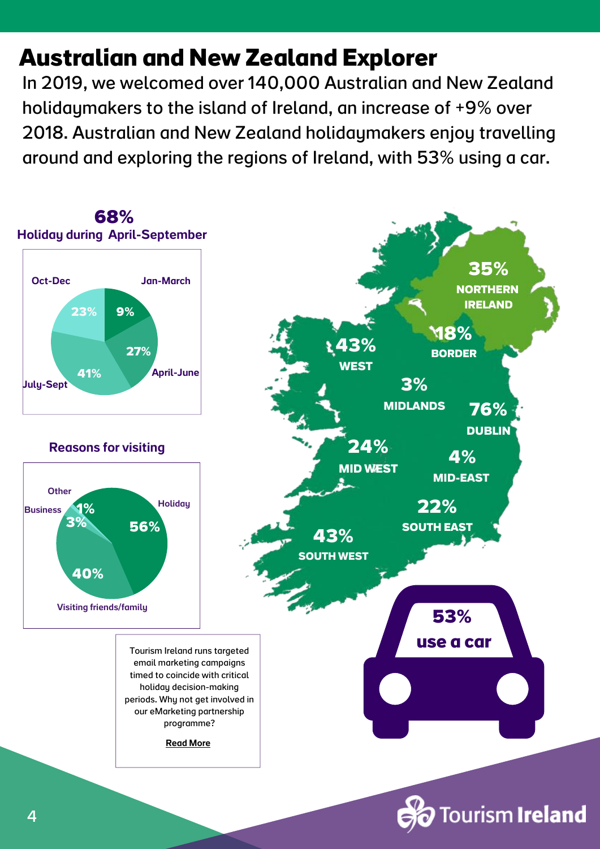## **Australian and New Zealand Explorer**

In 2019, we welcomed over 140,000 Australian and New Zealand holidaymakers to the island of Ireland, an increase of +9% over 2018. Australian and New Zealand holidaymakers enjoy travelling around and exploring the regions of Ireland, with 53% using a car.